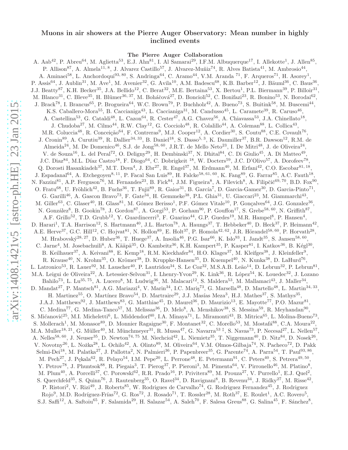# arXiv:1408.1421v5 [astro-ph.HE] 23 Jan 2015 [arXiv:1408.1421v5 \[astro-ph.HE\] 23 Jan 2015](http://arxiv.org/abs/1408.1421v5)

# Muons in air showers at the Pierre Auger Observatory: Mean number in highly inclined events

The Pierre Auger Collaboration

A. Aab<sup>42</sup>, P. Abreu<sup>64</sup>, M. Aglietta<sup>53</sup>, E.J. Ahn<sup>81</sup>, I. Al Samarai<sup>29</sup>, I.F.M. Albuquerque<sup>17</sup>, I. Allekotte<sup>1</sup>, J. Allen<sup>85</sup>, P. Allison<sup>87</sup>, A. Almela<sup>11, 8</sup>, J. Alvarez Castillo<sup>57</sup>, J. Alvarez-Muñiz<sup>74</sup>, R. Alves Batista<sup>41</sup>, M. Ambrosio<sup>44</sup>, A. Aminaei<sup>58</sup>, L. Anchordoqui<sup>93, 80</sup>, S. Andringa<sup>64</sup>, C. Aramo<sup>44</sup>, V.M. Aranda <sup>71</sup>, F. Arqueros<sup>71</sup>, H. Asorey<sup>1</sup>, P. Assis<sup>64</sup>, J. Aublin<sup>31</sup>, M. Ave<sup>1</sup>, M. Avenier<sup>32</sup>, G. Avila<sup>10</sup>, A.M. Badescu<sup>68</sup>, K.B. Barber<sup>12</sup>, J. Bäuml<sup>36</sup>, C. Baus<sup>36</sup>, J.J. Beatty<sup>87</sup>, K.H. Becker<sup>35</sup>, J.A. Bellido<sup>12</sup>, C. Berat<sup>32</sup>, M.E. Bertaina<sup>53</sup>, X. Bertou<sup>1</sup>, P.L. Biermann<sup>39</sup>, P. Billoir<sup>31</sup>, M. Blanco<sup>31</sup>, C. Bleve<sup>35</sup>, H. Blümer<sup>36, 37</sup>, M. Boháčová<sup>27</sup>, D. Boncioli<sup>52</sup>, C. Bonifazi<sup>23</sup>, R. Bonino<sup>53</sup>, N. Borodai<sup>62</sup>, J. Brack<sup>78</sup>, I. Brancus<sup>65</sup>, P. Brogueira<sup>64</sup>, W.C. Brown<sup>79</sup>, P. Buchholz<sup>42</sup>, A. Bueno<sup>73</sup>, S. Buitink<sup>58</sup>, M. Buscemi<sup>44</sup>, K.S. Caballero-Mora<sup>55</sup>, B. Caccianiga<sup>43</sup>, L. Caccianiga<sup>31</sup>, M. Candusso<sup>45</sup>, L. Caramete<sup>39</sup>, R. Caruso<sup>46</sup>, A. Castellina<sup>53</sup>, G. Cataldi<sup>48</sup>, L. Cazon<sup>64</sup>, R. Cester<sup>47</sup>, A.G. Chavez<sup>56</sup>, A. Chiavassa<sup>53</sup>, J.A. Chinellato<sup>18</sup>, J. Chudoba<sup>27</sup>, M. Cilmo<sup>44</sup>, R.W. Clay<sup>12</sup>, G. Cocciolo<sup>48</sup>, R. Colalillo<sup>44</sup>, A. Coleman<sup>88</sup>, L. Collica<sup>43</sup>, M.R. Coluccia<sup>48</sup>, R. Conceição<sup>64</sup>, F. Contreras<sup>9</sup>, M.J. Cooper<sup>12</sup>, A. Cordier<sup>30</sup>, S. Coutu<sup>88</sup>, C.E. Covault<sup>76</sup>, J. Cronin<sup>89</sup>, A. Curutiu<sup>39</sup>, R. Dallier<sup>34, 33</sup>, B. Daniel<sup>18</sup>, S. Dasso<sup>5, 3</sup>, K. Daumiller<sup>37</sup>, B.R. Dawson<sup>12</sup>, R.M. de Almeida<sup>24</sup>, M. De Domenico<sup>46</sup>, S.J. de Jong<sup>58, 60</sup>, J.R.T. de Mello Neto<sup>23</sup>, I. De Mitri<sup>48</sup>, J. de Oliveira<sup>24</sup>, V. de Souza<sup>16</sup>, L. del Peral<sup>72</sup>, O. Deligny<sup>29</sup>, H. Dembinski<sup>37</sup>, N. Dhital<sup>84</sup>, C. Di Giulio<sup>45</sup>, A. Di Matteo<sup>49</sup>, J.C. Diaz<sup>84</sup>, M.L. Díaz Castro<sup>18</sup>, F. Diogo<sup>64</sup>, C. Dobrigkeit <sup>18</sup>, W. Docters<sup>59</sup>, J.C. D'Olivo<sup>57</sup>, A. Dorofeev<sup>78</sup>, Q. Dorosti Hasankiadeh<sup>37</sup>, M.T. Dova<sup>4</sup>, J. Ebr<sup>27</sup>, R. Engel<sup>37</sup>, M. Erdmann<sup>40</sup>, M. Erfani<sup>42</sup>, C.O. Escobar<sup>81, 18</sup>, J. Espadanal<sup>64</sup>, A. Etchegoyen<sup>8, 11</sup>, P. Facal San Luis<sup>89</sup>, H. Falcke<sup>58, 61, 60</sup>, K. Fang<sup>89</sup>, G. Farrar<sup>85</sup>, A.C. Fauth<sup>18</sup>, N. Fazzini<sup>81</sup>, A.P. Ferguson<sup>76</sup>, M. Fernandes<sup>23</sup>, B. Fick<sup>84</sup>, J.M. Figueira<sup>8</sup>, A. Filevich<sup>8</sup>, A. Filipčič<sup>69, 70</sup>, B.D. Fox<sup>90</sup>, O. Fratu<sup>68</sup>, U. Fröhlich<sup>42</sup>, B. Fuchs<sup>36</sup>, T. Fujii<sup>89</sup>, R. Gaior<sup>31</sup>, B. García<sup>7</sup>, D. Garcia-Gamez<sup>30</sup>, D. Garcia-Pinto<sup>71</sup>, G. Garilli<sup>46</sup>, A. Gascon Bravo<sup>73</sup>, F. Gate<sup>34</sup>, H. Gemmeke<sup>38</sup>, P.L. Ghia<sup>31</sup>, U. Giaccari<sup>23</sup>, M. Giammarchi<sup>43</sup>, M. Giller<sup>63</sup>, C. Glaser<sup>40</sup>, H. Glass<sup>81</sup>, M. Gómez Berisso<sup>1</sup>, P.F. Gómez Vitale<sup>10</sup>, P. Gonçalves<sup>64</sup>, J.G. Gonzalez<sup>36</sup>, N. González<sup>8</sup>, B. Gookin<sup>78</sup>, J. Gordon<sup>87</sup>, A. Gorgi<sup>53</sup>, P. Gorham<sup>90</sup>, P. Gouffon<sup>17</sup>, S. Grebe<sup>58, 60</sup>, N. Griffith<sup>87</sup>, A.F. Grillo<sup>52</sup>, T.D. Grubb<sup>12</sup>, Y. Guardincerri<sup>3</sup>, F. Guarino<sup>44</sup>, G.P. Guedes<sup>19</sup>, M.R. Hampel<sup>8</sup>, P. Hansen<sup>4</sup>, D. Harari<sup>1</sup>, T.A. Harrison<sup>12</sup>, S. Hartmann<sup>40</sup>, J.L. Harton<sup>78</sup>, A. Haungs<sup>37</sup>, T. Hebbeker<sup>40</sup>, D. Heck<sup>37</sup>, P. Heimann<sup>42</sup>, A.E. Herve<sup>37</sup>, G.C. Hill<sup>12</sup>, C. Hojvat<sup>81</sup>, N. Hollon<sup>89</sup>, E. Holt<sup>37</sup>, P. Homola<sup>42, 62</sup>, J.R. Hörandel<sup>58, 60</sup>, P. Horvath<sup>28</sup>, M. Hrabovský $^{28, 27}$ , D. Huber $^{36}$ , T. Huege $^{37}$ , A. Insolia $^{46}$ , P.G. Isar $^{66}$ , K. Islo $^{93}$ , I. Jandt $^{35}$ , S. Jansen $^{58, 60}$ , C. Jarne<sup>4</sup>, M. Josebachuili<sup>8</sup>, A. Kääpä<sup>35</sup>, O. Kambeitz<sup>36</sup>, K.H. Kampert<sup>35</sup>, P. Kasper<sup>81</sup>, I. Katkov<sup>36</sup>, B. Kégl<sup>30</sup>, B. Keilhauer<sup>37</sup>, A. Keivani<sup>88</sup>, E. Kemp<sup>18</sup>, R.M. Kieckhafer<sup>84</sup>, H.O. Klages<sup>37</sup>, M. Kleifges<sup>38</sup>, J. Kleinfeller<sup>9</sup>, R. Krause<sup>40</sup>, N. Krohm<sup>35</sup>, O. Krömer<sup>38</sup>, D. Kruppke-Hansen<sup>35</sup>, D. Kuempel<sup>40</sup>, N. Kunka<sup>38</sup>, D. LaHurd<sup>76</sup>, L. Latronico<sup>53</sup>, R. Lauer<sup>92</sup>, M. Lauscher<sup>40</sup>, P. Lautridou<sup>34</sup>, S. Le Coz<sup>32</sup>, M.S.A.B. Leão<sup>14</sup>, D. Lebrun<sup>32</sup>, P. Lebrun<sup>81</sup>, M.A. Leigui de Oliveira<sup>22</sup>, A. Letessier-Selvon<sup>31</sup>, I. Lhenry-Yvon<sup>29</sup>, K. Link<sup>36</sup>, R. López<sup>54</sup>, K. Louedec<sup>32</sup>, J. Lozano Bahilo<sup>73</sup>, L. Lu<sup>35, 75</sup>, A. Lucero<sup>8</sup>, M. Ludwig<sup>36</sup>, M. Malacari<sup>12</sup>, S. Maldera<sup>53</sup>, M. Mallamaci<sup>43</sup>, J. Maller<sup>34</sup>, D. Mandat<sup>27</sup>, P. Mantsch<sup>81</sup>, A.G. Mariazzi<sup>4</sup>, V. Marin<sup>34</sup>, I.C. Mariş<sup>73</sup>, G. Marsella<sup>48</sup>, D. Martello<sup>48</sup>, L. Martin<sup>34, 33</sup>, H. Martinez<sup>55</sup>, O. Martínez Bravo<sup>54</sup>, D. Martraire<sup>29</sup>, J.J. Masías Meza<sup>3</sup>, H.J. Mathes<sup>37</sup>, S. Mathys<sup>35</sup>, J.A.J. Matthews<sup>92</sup>, J. Matthews<sup>83</sup>, G. Matthiae<sup>45</sup>, D. Maurel<sup>36</sup>, D. Maurizio<sup>13</sup>, E. Mayotte<sup>77</sup>, P.O. Mazur<sup>81</sup>, C. Medina<sup>77</sup>, G. Medina-Tanco<sup>57</sup>, M. Melissas<sup>36</sup>, D. Melo<sup>8</sup>, A. Menshikov<sup>38</sup>, S. Messina<sup>59</sup>, R. Meyhandan<sup>90</sup>, S. Mićanović<sup>25</sup>, M.I. Micheletti<sup>6</sup>, L. Middendorf<sup>40</sup>, I.A. Minaya<sup>71</sup>, L. Miramonti<sup>43</sup>, B. Mitrica<sup>65</sup>, L. Molina-Bueno<sup>73</sup>, S. Mollerach<sup>1</sup>, M. Monasor<sup>89</sup>, D. Monnier Ragaigne<sup>30</sup>, F. Montanet<sup>32</sup>, C. Morello<sup>53</sup>, M. Mostafá<sup>88</sup>, C.A. Moura<sup>22</sup>, M.A. Muller<sup>18, 21</sup>, G. Müller<sup>40</sup>, M. Münchmeyer<sup>31</sup>, R. Mussa<sup>47</sup>, G. Navarra<sup>53‡</sup>, S. Navas<sup>73</sup>, P. Necesal<sup>27</sup>, L. Nellen<sup>57</sup>, A. Nelles<sup>58, 60</sup>, J. Neuser<sup>35</sup>, D. Newton<sup>74, 75</sup> M. Niechciol<sup>42</sup>, L. Niemietz<sup>35</sup>, T. Niggemann<sup>40</sup>, D. Nitz<sup>84</sup>, D. Nosek<sup>26</sup>, V. Novotny<sup>26</sup>, L. Nožka<sup>28</sup>, L. Ochilo<sup>42</sup>, A. Olinto<sup>89</sup>, M. Oliveira<sup>64</sup>, V.M. Olmos-Gilbaja<sup>74</sup>, N. Pacheco<sup>72</sup>, D. Pakk Selmi-Dei<sup>18</sup>, M. Palatka<sup>27</sup>, J. Pallotta<sup>2</sup>, N. Palmieri<sup>36</sup>, P. Papenbreer<sup>35</sup>, G. Parente<sup>74</sup>, A. Parra<sup>54</sup>, T. Paul<sup>93, 86</sup>, M. Pech<sup>27</sup>, J. Pękala<sup>62</sup>, R. Pelayo<sup>54</sup>, I.M. Pepe<sup>20</sup>, L. Perrone<sup>48</sup>, E. Petermann<sup>91</sup>, C. Peters<sup>40</sup>, S. Petrera<sup>49, 50</sup>, Y. Petrov<sup>78</sup>, J. Phuntsok<sup>88</sup>, R. Piegaia<sup>3</sup>, T. Pierog<sup>37</sup>, P. Pieroni<sup>3</sup>, M. Pimenta<sup>64</sup>, V. Pirronello<sup>46</sup>, M. Platino<sup>8</sup>, M. Plum<sup>40</sup>, A. Porcelli<sup>37</sup>, C. Porowski<sup>62</sup>, R.R. Prado<sup>16</sup>, P. Privitera<sup>89</sup>, M. Prouza<sup>27</sup>, V. Purrello<sup>1</sup>, E.J. Quel<sup>2</sup>, S. Querchfeld<sup>35</sup>, S. Quinn<sup>76</sup>, J. Rautenberg<sup>35</sup>, O. Ravel<sup>34</sup>, D. Ravignani<sup>8</sup>, B. Revenu<sup>34</sup>, J. Ridky<sup>27</sup>, M. Risse<sup>42</sup>, P. Ristori<sup>2</sup>, V. Rizi<sup>49</sup>, J. Roberts<sup>85</sup>, W. Rodrigues de Carvalho<sup>74</sup>, G. Rodriguez Fernandez<sup>45</sup>, J. Rodriguez  $Rojo^9$ , M.D. Rodríguez-Frías<sup>72</sup>, G. Ros<sup>72</sup>, J. Rosado<sup>71</sup>, T. Rossler<sup>28</sup>, M. Roth<sup>37</sup>, E. Roulet<sup>1</sup>, A.C. Rovero<sup>5</sup>, S.J. Saffi<sup>12</sup>, A. Saftoiu<sup>65</sup>, F. Salamida<sup>29</sup>, H. Salazar<sup>54</sup>, A. Saleh<sup>70</sup>, F. Salesa Greus<sup>88</sup>, G. Salina<sup>45</sup>, F. Sánchez<sup>8</sup>,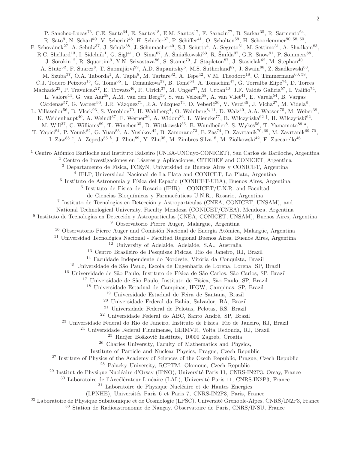P. Sanchez-Lucas<sup>73</sup>, C.E. Santo<sup>64</sup>, E. Santos<sup>18</sup>, E.M. Santos<sup>17</sup>, F. Sarazin<sup>77</sup>, B. Sarkar<sup>35</sup>, R. Sarmento<sup>64</sup>, R. Sato<sup>9</sup>, N. Scharf<sup>40</sup>, V. Scherini<sup>48</sup>, H. Schieler<sup>37</sup>, P. Schiffer<sup>41</sup>, O. Scholten<sup>59</sup>, H. Schoorlemmer<sup>90, 58, 60</sup>, P. Schovánek<sup>27</sup>, A. Schulz<sup>37</sup>, J. Schulz<sup>58</sup>, J. Schumacher<sup>40</sup>, S.J. Sciutto<sup>4</sup>, A. Segreto<sup>51</sup>, M. Settimo<sup>31</sup>, A. Shadkam<sup>83</sup>, R.C. Shellard<sup>13</sup>, I. Sidelnik<sup>1</sup>, G. Sigl<sup>41</sup>, O. Sima<sup>67</sup>, A. Śmiałkowski<sup>63</sup>, R. Šmída<sup>37</sup>, G.R. Snow<sup>91</sup>, P. Sommers<sup>88</sup>, J. Sorokin<sup>12</sup>, R. Squartini<sup>9</sup>, Y.N. Srivastava<sup>86</sup>, S. Stanič<sup>70</sup>, J. Stapleton<sup>87</sup>, J. Stasielak<sup>62</sup>, M. Stephan<sup>40</sup>, A. Stutz<sup>32</sup>, F. Suarez<sup>8</sup>, T. Suomijärvi<sup>29</sup>, A.D. Supanitsky<sup>5</sup>, M.S. Sutherland<sup>87</sup>, J. Swain<sup>86</sup>, Z. Szadkowski<sup>63</sup>, M. Szuba<sup>37</sup>, O.A. Taborda<sup>1</sup>, A. Tapia<sup>8</sup>, M. Tartare<sup>32</sup>, A. Tepe<sup>42</sup>, V.M. Theodoro<sup>18</sup>, C. Timmermans<sup>60, 58</sup>, C.J. Todero Peixoto<sup>15</sup>, G. Toma<sup>65</sup>, L. Tomankova<sup>37</sup>, B. Tomé<sup>64</sup>, A. Tonachini<sup>47</sup>, G. Torralba Elipe<sup>74</sup>, D. Torres Machado<sup>23</sup>, P. Travnicek<sup>27</sup>, E. Trovato<sup>46</sup>, R. Ulrich<sup>37</sup>, M. Unger<sup>37</sup>, M. Urban<sup>40</sup>, J.F. Valdés Galicia<sup>57</sup>, I. Valiño<sup>74</sup>, L. Valore<sup>44</sup>, G. van Aar<sup>58</sup>, A.M. van den Berg<sup>59</sup>, S. van Velzen<sup>58</sup>, A. van Vliet<sup>41</sup>, E. Varela<sup>54</sup>, B. Vargas  $Cárdenas<sup>57</sup>, G. Varner<sup>90</sup>, J.R. Vázquez<sup>71</sup>, R.A. Vázquez<sup>74</sup>, D. Veberič<sup>30</sup>, V. Verzi<sup>45</sup>, J. Vicha<sup>27</sup>, M. Videla<sup>8</sup>,$ L. Villaseñor<sup>56</sup>, B. Vlcek<sup>93</sup>, S. Vorobiov<sup>70</sup>, H. Wahlberg<sup>4</sup>, O. Wainberg<sup>8, 11</sup>, D. Walz<sup>40</sup>, A.A. Watson<sup>75</sup>, M. Weber<sup>38</sup>, K. Weidenhaupt<sup>40</sup>, A. Weindl<sup>37</sup>, F. Werner<sup>36</sup>, A. Widom<sup>86</sup>, L. Wiencke<sup>77</sup>, B. Wilczyńska<sup>62‡</sup>, H. Wilczyński<sup>62</sup>, M. Will<sup>37</sup>, C. Williams<sup>89</sup>, T. Winchen<sup>35</sup>, D. Wittkowski<sup>35</sup>, B. Wundheiler<sup>8</sup>, S. Wykes<sup>58</sup>, T. Yamamoto<sup>89</sup><sup>a</sup>, T. Yapici<sup>84</sup>, P. Younk<sup>82</sup>, G. Yuan<sup>83</sup>, A. Yushkov<sup>42</sup>, B. Zamorano<sup>73</sup>, E. Zas<sup>74</sup>, D. Zavrtanik<sup>70, 69</sup>, M. Zavrtanik<sup>69, 70</sup>, I. Zaw<sup>85 c</sup>, A. Zepeda<sup>55 b</sup>, J. Zhou<sup>89</sup>, Y. Zhu<sup>38</sup>, M. Zimbres Silva<sup>18</sup>, M. Ziolkowski<sup>42</sup>, F. Zuccarello<sup>46</sup> <sup>1</sup> Centro Atómico Bariloche and Instituto Balseiro (CNEA-UNCuyo-CONICET), San Carlos de Bariloche, Argentina <sup>2</sup> Centro de Investigaciones en Láseres y Aplicaciones, CITEDEF and CONICET, Argentina <sup>3</sup> Departamento de Física, FCEyN, Universidad de Buenos Aires y CONICET, Argentina 4 IFLP, Universidad Nacional de La Plata and CONICET, La Plata, Argentina <sup>5</sup> Instituto de Astronomía y Física del Espacio (CONICET-UBA), Buenos Aires, Argentina  $6$  Instituto de Física de Rosario (IFIR) - CONICET/U.N.R. and Facultad de Ciencias Bioquímicas y Farmacéuticas U.N.R., Rosario, Argentina <sup>7</sup> Instituto de Tecnologías en Detección y Astropartículas (CNEA, CONICET, UNSAM), and National Technological University, Faculty Mendoza (CONICET/CNEA), Mendoza, Argentina <sup>8</sup> Instituto de Tecnologías en Detección y Astropartículas (CNEA, CONICET, UNSAM), Buenos Aires, Argentina  $9$  Observatorio Pierre Auger, Malargüe, Argentina <sup>10</sup> Observatorio Pierre Auger and Comisión Nacional de Energía Atómica, Malargüe, Argentina <sup>11</sup> Universidad Tecnológica Nacional - Facultad Regional Buenos Aires, Buenos Aires, Argentina <sup>12</sup> University of Adelaide, Adelaide, S.A., Australia <sup>13</sup> Centro Brasileiro de Pesquisas Fisicas, Rio de Janeiro, RJ, Brazil <sup>14</sup> Faculdade Independente do Nordeste, Vitória da Conquista, Brazil <sup>15</sup> Universidade de São Paulo, Escola de Engenharia de Lorena, Lorena, SP, Brazil <sup>16</sup> Universidade de São Paulo, Instituto de Física de São Carlos, São Carlos, SP, Brazil <sup>17</sup> Universidade de São Paulo, Instituto de Física, São Paulo, SP, Brazil <sup>18</sup> Universidade Estadual de Campinas, IFGW, Campinas, SP, Brazil <sup>19</sup> Universidade Estadual de Feira de Santana, Brazil <sup>20</sup> Universidade Federal da Bahia, Salvador, BA, Brazil <sup>21</sup> Universidade Federal de Pelotas, Pelotas, RS, Brazil <sup>22</sup> Universidade Federal do ABC, Santo André, SP, Brazil <sup>23</sup> Universidade Federal do Rio de Janeiro, Instituto de Física, Rio de Janeiro, RJ, Brazil <sup>24</sup> Universidade Federal Fluminense, EEIMVR, Volta Redonda, RJ, Brazil <sup>25</sup> Rudjer Bošković Institute, 10000 Zagreb, Croatia <sup>26</sup> Charles University, Faculty of Mathematics and Physics, Institute of Particle and Nuclear Physics, Prague, Czech Republic <sup>27</sup> Institute of Physics of the Academy of Sciences of the Czech Republic, Prague, Czech Republic <sup>28</sup> Palacky University, RCPTM, Olomouc, Czech Republic  $^{29}$  Institut de Physique Nucléaire d'Orsay (IPNO), Université Paris 11, CNRS-IN2P3, Orsay, France  $30$  Laboratoire de l'Accélérateur Linéaire (LAL), Université Paris 11, CNRS-IN2P3, France <sup>31</sup> Laboratoire de Physique Nucléaire et de Hautes Energies (LPNHE), Universités Paris 6 et Paris 7, CNRS-IN2P3, Paris, France <sup>32</sup> Laboratoire de Physique Subatomique et de Cosmologie (LPSC), Université Grenoble-Alpes, CNRS/IN2P3, France <sup>33</sup> Station de Radioastronomie de Nançay, Observatoire de Paris, CNRS/INSU, France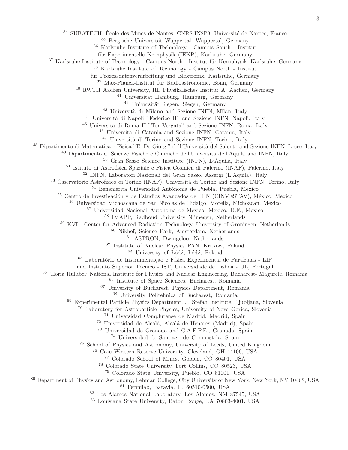SUBATECH, École des Mines de Nantes, CNRS-IN2P3, Université de Nantes, France

Bergische Universität Wuppertal, Wuppertal, Germany

Karlsruhe Institute of Technology - Campus South - Institut

für Experimentelle Kernphysik (IEKP), Karlsruhe, Germany

<sup>37</sup> Karlsruhe Institute of Technology - Campus North - Institut für Kernphysik, Karlsruhe, Germany

Karlsruhe Institute of Technology - Campus North - Institut

für Prozessdatenverarbeitung und Elektronik, Karlsruhe, Germany

Max-Planck-Institut für Radioastronomie, Bonn, Germany

RWTH Aachen University, III. Physikalisches Institut A, Aachen, Germany

<sup>41</sup> Universität Hamburg, Hamburg, Germany

Universität Siegen, Siegen, Germany

<sup>43</sup> Università di Milano and Sezione INFN, Milan, Italy

<sup>44</sup> Università di Napoli "Federico II" and Sezione INFN, Napoli, Italy

<sup>45</sup> Università di Roma II "Tor Vergata" and Sezione INFN, Roma, Italy

<sup>46</sup> Università di Catania and Sezione INFN, Catania, Italy

<sup>47</sup> Università di Torino and Sezione INFN, Torino, Italy

<sup>48</sup> Dipartimento di Matematica e Fisica "E. De Giorgi" dell'Università del Salento and Sezione INFN, Lecce, Italy

<sup>49</sup> Dipartimento di Scienze Fisiche e Chimiche dell'Università dell'Aquila and INFN, Italy

Gran Sasso Science Institute (INFN), L'Aquila, Italy

Istituto di Astrofisica Spaziale e Fisica Cosmica di Palermo (INAF), Palermo, Italy

INFN, Laboratori Nazionali del Gran Sasso, Assergi (L'Aquila), Italy

<sup>53</sup> Osservatorio Astrofisico di Torino (INAF), Università di Torino and Sezione INFN, Torino, Italy

54 Benemérita Universidad Autónoma de Puebla, Puebla, Mexico

<sup>55</sup> Centro de Investigación y de Estudios Avanzados del IPN (CINVESTAV), México, Mexico

Universidad Michoacana de San Nicolas de Hidalgo, Morelia, Michoacan, Mexico

Universidad Nacional Autonoma de Mexico, Mexico, D.F., Mexico

IMAPP, Radboud University Nijmegen, Netherlands

<sup>59</sup> KVI - Center for Advanced Radiation Technology, University of Groningen, Netherlands

Nikhef, Science Park, Amsterdam, Netherlands

ASTRON, Dwingeloo, Netherlands

Institute of Nuclear Physics PAN, Krakow, Poland

University of Lódź, Lódź, Poland

 $^{64}$  Laboratório de Instrumentação e Física Experimental de Partículas - LIP

and Instituto Superior Técnico - IST, Universidade de Lisboa - UL, Portugal

'Horia Hulubei' National Institute for Physics and Nuclear Engineering, Bucharest- Magurele, Romania

Institute of Space Sciences, Bucharest, Romania

University of Bucharest, Physics Department, Romania

University Politehnica of Bucharest, Romania

Experimental Particle Physics Department, J. Stefan Institute, Ljubljana, Slovenia

Laboratory for Astroparticle Physics, University of Nova Gorica, Slovenia

Universidad Complutense de Madrid, Madrid, Spain

<sup>72</sup> Universidad de Alcalá, Alcalá de Henares (Madrid), Spain

Universidad de Granada and C.A.F.P.E., Granada, Spain

Universidad de Santiago de Compostela, Spain

School of Physics and Astronomy, University of Leeds, United Kingdom

Case Western Reserve University, Cleveland, OH 44106, USA

Colorado School of Mines, Golden, CO 80401, USA

Colorado State University, Fort Collins, CO 80523, USA

Colorado State University, Pueblo, CO 81001, USA

 Department of Physics and Astronomy, Lehman College, City University of New York, New York, NY 10468, USA Fermilab, Batavia, IL 60510-0500, USA

Los Alamos National Laboratory, Los Alamos, NM 87545, USA

Louisiana State University, Baton Rouge, LA 70803-4001, USA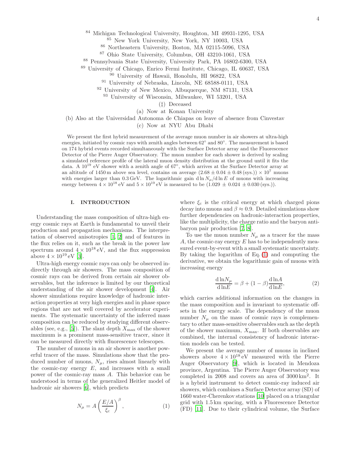<sup>84</sup> Michigan Technological University, Houghton, MI 49931-1295, USA

<sup>85</sup> New York University, New York, NY 10003, USA

<sup>86</sup> Northeastern University, Boston, MA 02115-5096, USA

<sup>87</sup> Ohio State University, Columbus, OH 43210-1061, USA

<sup>88</sup> Pennsylvania State University, University Park, PA 16802-6300, USA

<sup>89</sup> University of Chicago, Enrico Fermi Institute, Chicago, IL 60637, USA

<sup>90</sup> University of Hawaii, Honolulu, HI 96822, USA

<sup>91</sup> University of Nebraska, Lincoln, NE 68588-0111, USA

<sup>92</sup> University of New Mexico, Albuquerque, NM 87131, USA

<sup>93</sup> University of Wisconsin, Milwaukee, WI 53201, USA

(‡) Deceased

(a) Now at Konan University

(b) Also at the Universidad Autonoma de Chiapas on leave of absence from Cinvestav

(c) Now at NYU Abu Dhabi

We present the first hybrid measurement of the average muon number in air showers at ultra-high energies, initiated by cosmic rays with zenith angles between 62° and 80°. The measurement is based on 174 hybrid events recorded simultaneously with the Surface Detector array and the Fluorescence Detector of the Pierre Auger Observatory. The muon number for each shower is derived by scaling a simulated reference profile of the lateral muon density distribution at the ground until it fits the data. A  $10^{19}$  eV shower with a zenith angle of 67°, which arrives at the Surface Detector array at an altitude of 1450 m above sea level, contains on average  $(2.68 \pm 0.04 \pm 0.48 \text{ (sys.)}) \times 10^7 \text{ muons}$ with energies larger than  $0.3 \text{ GeV}$ . The logarithmic gain d ln  $N_{\mu}/\text{d} \ln E$  of muons with increasing energy between  $4 \times 10^{18}$  eV and  $5 \times 10^{19}$  eV is measured to be  $(1.029 \pm 0.024 \pm 0.030$  (sys.)).

## I. INTRODUCTION

Understanding the mass composition of ultra-high energy cosmic rays at Earth is fundamental to unveil their production and propagation mechanisms. The interpretation of observed anisotropies [\[1,](#page-10-0) [2](#page-10-1)] and of features in the flux relies on it, such as the break in the power law spectrum around  $4 \times 10^{18}$  eV, and the flux suppression above  $4 \times 10^{19}$  eV [\[3](#page-10-2)].

Ultra-high energy cosmic rays can only be observed indirectly through air showers. The mass composition of cosmic rays can be derived from certain air shower observables, but the inference is limited by our theoretical understanding of the air shower development [\[4](#page-10-3)]. Air shower simulations require knowledge of hadronic interaction properties at very high energies and in phase space regions that are not well covered by accelerator experiments. The systematic uncertainty of the inferred mass composition can be reduced by studying different observ-ables (see, e.g., [\[5\]](#page-10-4)). The slant depth  $X_{\text{max}}$  of the shower maximum is a prominent mass-sensitive tracer, since it can be measured directly with fluorescence telescopes.

The number of muons in an air shower is another powerful tracer of the mass. Simulations show that the produced number of muons,  $N_{\mu}$ , rises almost linearly with the cosmic-ray energy  $E$ , and increases with a small power of the cosmic-ray mass A. This behavior can be understood in terms of the generalized Heitler model of hadronic air showers [\[6](#page-10-5)], which predicts

<span id="page-3-0"></span>
$$
N_{\mu} = A \left(\frac{E/A}{\xi_{\rm c}}\right)^{\beta},\tag{1}
$$

where  $\xi_c$  is the critical energy at which charged pions decay into muons and  $\beta \approx 0.9$ . Detailed simulations show further dependencies on hadronic-interaction properties, like the multiplicity, the charge ratio and the baryon antibaryon pair production [\[7](#page-10-6), [8](#page-10-7)].

To use the muon number  $N_{\mu}$  as a tracer for the mass A, the cosmic-ray energy  $E$  has to be independently measured event-by-event with a small systematic uncertainty. By taking the logarithm of Eq. [\(1\)](#page-3-0) and computing the derivative, we obtain the logarithmic gain of muons with increasing energy

<span id="page-3-1"></span>
$$
\frac{\mathrm{d}\ln N_{\mu}}{\mathrm{d}\ln E} = \beta + (1 - \beta) \frac{\mathrm{d}\ln A}{\mathrm{d}\ln E},\tag{2}
$$

which carries additional information on the changes in the mass composition and is invariant to systematic offsets in the energy scale. The dependency of the muon number  $N_{\mu}$  on the mass of cosmic rays is complementary to other mass-sensitive observables such as the depth of the shower maximum,  $X_{\text{max}}$ . If both observables are combined, the internal consistency of hadronic interaction models can be tested.

We present the average number of muons in inclined showers above  $4 \times 10^{18}$  eV measured with the Pierre Auger Observatory [\[9](#page-10-8)], which is located in Mendoza province, Argentina. The Pierre Auger Observatory was completed in 2008 and covers an area of 3000 km<sup>2</sup> . It is a hybrid instrument to detect cosmic-ray induced air showers, which combines a Surface Detector array (SD) of 1660 water-Cherenkov stations [\[10\]](#page-10-9) placed on a triangular grid with 1.5 km spacing, with a Fluorescence Detector (FD) [\[11\]](#page-10-10). Due to their cylindrical volume, the Surface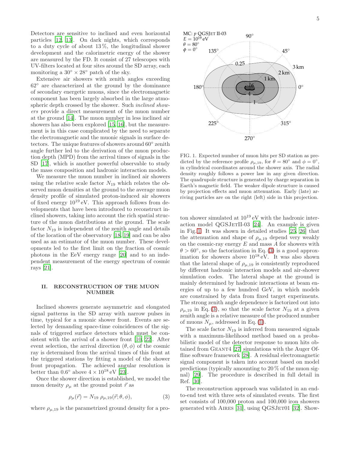Detectors are sensitive to inclined and even horizontal particles [\[12](#page-10-11), [13\]](#page-10-12). On dark nights, which corresponds to a duty cycle of about  $13\%$ , the longitudinal shower development and the calorimetric energy of the shower are measured by the FD. It consist of 27 telescopes with UV-filters located at four sites around the SD array, each monitoring a  $30^{\circ} \times 28^{\circ}$  patch of the sky.

Extensive air showers with zenith angles exceeding 62◦ are characterized at the ground by the dominance of secondary energetic muons, since the electromagnetic component has been largely absorbed in the large atmospheric depth crossed by the shower. Such *inclined show*ers provide a direct measurement of the muon number at the ground [\[14\]](#page-10-13). The muon number in less inclined air showers has also been explored [\[15](#page-10-14), [16\]](#page-10-15), but the measurement is in this case complicated by the need to separate the electromagnetic and the muonic signals in surface detectors. The unique features of showers around 60◦ zenith angle further led to the derivation of the muon production depth (MPD) from the arrival times of signals in the SD [\[17\]](#page-10-16), which is another powerful observable to study the mass composition and hadronic interaction models.

We measure the muon number in inclined air showers using the relative scale factor  $N_{19}$  which relates the observed muon densities at the ground to the average muon density profile of simulated proton-induced air showers of fixed energy  $10^{19}$  eV. This approach follows from developments that have been introduced to reconstruct inclined showers, taking into account the rich spatial structure of the muon distributions at the ground. The scale factor  $N_{19}$  is independent of the zenith angle and details of the location of the observatory [\[18,](#page-10-17) [19\]](#page-10-18) and can be also used as an estimator of the muon number. These developments led to the first limit on the fraction of cosmic photons in the EeV energy range [\[20](#page-10-19)] and to an independent measurement of the energy spectrum of cosmic rays [\[21\]](#page-10-20).

# II. RECONSTRUCTION OF THE MUON NUMBER

Inclined showers generate asymmetric and elongated signal patterns in the SD array with narrow pulses in time, typical for a muonic shower front. Events are selected by demanding space-time coincidences of the signals of triggered surface detectors which must be consistent with the arrival of a shower front [\[10,](#page-10-9) [22](#page-10-21)]. After event selection, the arrival direction  $(\theta, \phi)$  of the cosmic ray is determined from the arrival times of this front at the triggered stations by fitting a model of the shower front propagation. The achieved angular resolution is better than  $0.6^{\circ}$  above  $4 \times 10^{18}$  eV [\[23\]](#page-10-22).

Once the shower direction is established, we model the muon density  $\rho_{\mu}$  at the ground point  $\vec{r}$  as

<span id="page-4-1"></span>
$$
\rho_{\mu}(\vec{r}) = N_{19} \; \rho_{\mu,19}(\vec{r}; \theta, \phi), \tag{3}
$$

where  $\rho_{\mu,19}$  is the parametrized ground density for a pro-

270◦ FIG. 1. Expected number of muon hits per SD station as predicted by the reference profile  $\rho_{\mu,19}$ , for  $\theta = 80^\circ$  and  $\phi = 0^\circ$ in cylindrical coordinates around the shower axis. The radial density roughly follows a power law in any given direction. The quadrupole structure is generated by charge separation in

<span id="page-4-0"></span>Earth's magnetic field. The weaker dipole structure is caused by projection effects and muon attenuation. Early (late) ar-

riving particles are on the right (left) side in this projection. ton shower simulated at  $10^{19}$  eV with the hadronic interaction model  $QGSJETII-03$  [\[24\]](#page-10-23). An example is given in Fig. [1.](#page-4-0) It was shown in detailed studies [\[25,](#page-10-24) [26](#page-10-25)] that the attenuation and shape of  $\rho_{\mu,19}$  depend very weakly on the cosmic-ray energy  $E$  and mass  $A$  for showers with  $\theta > 60^{\circ}$ , so the factorization in Eq. [\(3\)](#page-4-1) is a good approximation for showers above  $10^{18}$  eV. It was also shown that the lateral shape of  $\rho_{\mu,19}$  is consistently reproduced by different hadronic interaction models and air-shower simulation codes. The lateral shape at the ground is mainly determined by hadronic interactions at beam energies of up to a few hundred GeV, in which models are constrained by data from fixed target experiments. The strong zenith angle dependence is factorized out into  $\rho_{\mu,19}$  in Eq. [\(3\)](#page-4-1), so that the scale factor  $N_{19}$  at a given zenith angle is a relative measure of the produced number of muons  $N_{\mu}$ , addressed in Eq. [\(1\)](#page-3-0).

The scale factor  $N_{19}$  is inferred from measured signals with a maximum-likelihood method based on a probabilistic model of the detector response to muon hits obtained from Geant4 [\[27\]](#page-10-26) simulations with the Auger Offline software framework [\[28\]](#page-10-27). A residual electromagnetic signal component is taken into account based on model predictions (typically amounting to 20 % of the muon signal) [\[29\]](#page-11-0). The procedure is described in full detail in Ref. [\[30\]](#page-11-1).

The reconstruction approach was validated in an endto-end test with three sets of simulated events. The first set consists of 100,000 proton and 100,000 iron showers generated with AIRES  $[31]$ , using QGSJET01  $[32]$ . Show-

,

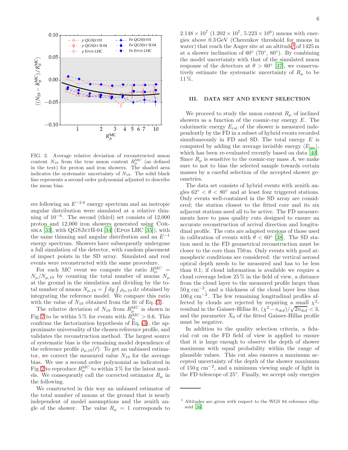

<span id="page-5-0"></span>FIG. 2. Average relative deviation of reconstructed muon content  $N_{19}$  from the true muon content  $R_{\mu}^{\text{MC}}$  (as defined in the text) for proton and iron showers. The shaded area indicates the systematic uncertainty of  $N_{19}$ . The solid black line represents a second order polynomial adjusted to describe the mean bias.

ers following an  $E^{-2.6}$  energy spectrum and an isotropic angular distribution were simulated at a relative thinning of 10<sup>−</sup><sup>6</sup> . The second (third) set consists of 12,000 proton and 12,000 iron showers generated using Cor- $S$ IKA [\[33](#page-11-4)], with  $QGSJETII-04$  [\[34\]](#page-11-5) (Epos LHC [\[35\]](#page-11-6)), with the same thinning and angular distribution and an  $E^{-1}$ energy spectrum. Showers have subsequently undergone a full simulation of the detector, with random placement of impact points in the SD array. Simulated and real events were reconstructed with the same procedure.

For each MC event we compute the ratio  $R_{\mu}^{\text{MC}} =$  $N_{\mu}/N_{\mu,19}$  by counting the total number of muons  $N_{\mu}$ at the ground in the simulation and dividing by the total number of muons  $N_{\mu,19} = \int dy \int \rho_{\mu,19} dx$  obtained by integrating the reference model. We compare this ratio with the value of  $N_{19}$  obtained from the fit of Eq. [\(3\)](#page-4-1).

The relative deviation of  $N_{19}$  from  $R_{\mu}^{\text{MC}}$  is shown in Fig. [2](#page-5-0) to be within 5% for events with  $R_{\mu}^{\text{MC}} > 0.6$ . This confirms the factorization hypothesis of  $Eq. (3)$  $Eq. (3)$ , the approximate universality of the chosen reference profile, and validates the reconstruction method. The largest source of systematic bias is the remaining model dependence of the reference profile  $\rho_{\mu,19}(\vec{r})$ . To get an unbiased estimator, we correct the measured value  $N_{19}$  for the average bias. We use a second order polynomial as indicated in Fig. [2](#page-5-0) to reproduce  $R_{\mu}^{\text{MC}}$  to within 3 % for the latest models. We consequently call the corrected estimator  $R_{\mu}$  in the following.

We constructed in this way an unbiased estimator of the total number of muons at the ground that is nearly independent of model assumptions and the zenith angle of the shower. The value  $R_{\mu} = 1$  corresponds to

 $2.148 \times 10^7$   $(1.202 \times 10^7, 5.223 \times 10^6)$  muons with energies above 0.3 GeV (Cherenkov threshold for muons in water) that reach the Auger site at an altitude<sup>[1](#page-5-1)</sup> of  $1425 \text{ m}$ at a shower inclination of  $60^{\circ}$  (70 $^{\circ}$ , 80 $^{\circ}$ ). By combining the model uncertainty with that of the simulated muon response of the detectors at  $\theta > 60^{\circ}$  [\[37\]](#page-11-7), we conservatively estimate the systematic uncertainty of  $R_\mu$  to be 11 %.

### III. DATA SET AND EVENT SELECTION

We proceed to study the muon content  $R_u$  of inclined showers as a function of the cosmic-ray energy  $E$ . The calorimetic energy  $E_{\text{cal}}$  of the shower is measured independently by the FD in a subset of hybrid events recorded simultaneously in FD and SD. The total energy  $E$  is computed by adding the average invisible energy  $\langle E_{\text{inv}} \rangle$ , which has been re-evaluated recently based on data [\[40\]](#page-11-8). Since  $R_{\mu}$  is sensitive to the cosmic-ray mass A, we make sure to not to bias the selected sample towards certain masses by a careful selection of the accepted shower geometries.

The data set consists of hybrid events with zenith angles  $62° < \theta < 80°$  and at least four triggered stations. Only events well-contained in the SD array are considered; the station closest to the fitted core and its six adjacent stations need all to be active. The FD measurements have to pass quality cuts designed to ensure an accurate reconstruction of arrival direction and longitudinal profile. The cuts are adapted versions of those used in calibration of events with  $\theta < 60^{\circ}$  [\[38\]](#page-11-9). The SD station used in the FD geometrical reconstruction must be closer to the core than 750 m. Only events with good atmospheric conditions are considered: the vertical aerosol optical depth needs to be measured and has to be less than 0.1; if cloud information is available we require a cloud coverage below 25 % in the field of view, a distance from the cloud layer to the measured profile larger than 50 g cm<sup>−</sup><sup>2</sup> , and a thickness of the cloud layer less than 100 g cm<sup>−</sup><sup>2</sup> . The few remaining longitudinal profiles affected by clouds are rejected by requiring a small  $\chi^2$ residual in the Gaisser-Hillas fit,  $(\chi^2 - n_{\text{dof}})/\sqrt{2n_{\text{dof}}} < 3$ , and the parameter  $X_0$  of the fitted Gaisser-Hillas profile must be negative.

In addition to the quality selection criteria, a fiducial cut on the FD field of view is applied to ensure that it is large enough to observe the depth of shower maximum with equal probability within the range of plausible values. This cut also ensures a maximum accepted uncertainty of the depth of the shower maximum of 150 g cm−<sup>2</sup> , and a minimum viewing angle of light in the FD telescope of 25◦ . Finally, we accept only energies

<span id="page-5-1"></span><sup>1</sup> Altitudes are given with respect to the WGS 84 reference ellipsoid [\[36\]](#page-11-10).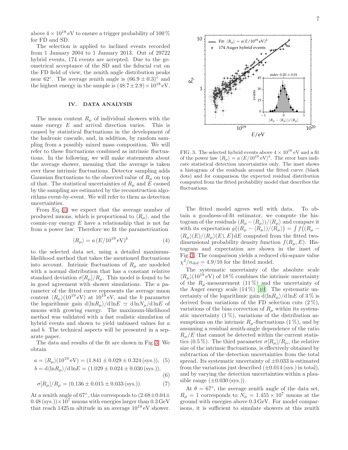above  $4 \times 10^{18}$  eV to ensure a trigger probability of 100  $\%$ for FD and SD.

The selection is applied to inclined events recorded from 1 January 2004 to 1 January 2013. Out of 29722 hybrid events, 174 events are accepted. Due to the geometrical acceptance of the SD and the fiducial cut on the FD field of view, the zenith angle distribution peaks near 62°. The average zenith angle is  $(66.9 \pm 0.3)^\circ$  and the highest energy in the sample is  $(48.7 \pm 2.9) \times 10^{18}$  eV.

### IV. DATA ANALYSIS

The muon content  $R_u$  of individual showers with the same energy  $E$  and arrival direction varies. This is caused by statistical fluctuations in the development of the hadronic cascade, and, in addition, by random sampling from a possibly mixed mass composition. We will refer to these fluctuations combined as intrinsic fluctuations. In the following, we will make statements about the average shower, meaning that the average is taken over these intrinsic fluctuations. Detector sampling adds Gaussian fluctuations to the observed value of  $R_{\mu}$  on top of that. The statistical uncertainties of  $R_{\mu}$  and E caused by the sampling are estimated by the reconstruction algorithms event-by-event. We will refer to them as detection uncertainties.

From Eq. [\(1\)](#page-3-0) we expect that the average number of produced muons, which is proportional to  $\langle R_{\mu} \rangle$ , and the cosmic-ray energy  $E$  have a relationship that is not far from a power law. Therefore we fit the parametrization

<span id="page-6-1"></span>
$$
\langle R_{\mu} \rangle = a \left( E / 10^{19} \,\text{eV} \right)^b \tag{4}
$$

to the selected data set, using a detailed maximumlikelihood method that takes the mentioned fluctuations into account. Intrinsic fluctuations of  $R_\mu$  are modeled with a normal distribution that has a constant relative standard deviation  $\sigma[R_\mu]/R_\mu$ . This model is found to be in good agreement with shower simulations. The a parameter of the fitted curve represents the average muon content  $\langle R_{\mu} \rangle (10^{19} \text{ eV})$  at  $10^{19} \text{ eV}$ , and the b parameter the logarithmic gain  $d\langle \ln R_u \rangle / d \ln E \simeq d \ln N_u / d \ln E$  of muons with growing energy. The maximum-likelihood method was validated with a fast realistic simulation of hybrid events and shown to yield unbiased values for a and b. The technical aspects will be presented in a separate paper.

The data and results of the fit are shown in Fig. [3.](#page-6-0) We obtain

$$
a = \langle R_{\mu} \rangle (10^{19} \text{ eV}) = (1.841 \pm 0.029 \pm 0.324 \text{ (sys.)}), (5)
$$

$$
b = d\langle \ln R_{\mu} \rangle / d \ln E = (1.029 \pm 0.024 \pm 0.030 \text{ (sys.)}),
$$
\n(6)

$$
f_{\rm{max}}
$$

$$
\sigma[R_{\mu}]/R_{\mu} = (0.136 \pm 0.015 \pm 0.033 \text{ (sys.)}).
$$
 (7)

At a zenith angle of 67°, this corresponds to  $(2.68 \pm 0.04 \pm 0.04)$  $(0.48 \text{ (sys.)}) \times 10^7 \text{ muons with energies larger than } 0.3 \text{ GeV}$ that reach  $1425$ m altitude in an average  $10^{19}$  eV shower.



<span id="page-6-0"></span>FIG. 3. The selected hybrid events above  $4 \times 10^{18}$  eV and a fit of the power law  $\langle R_{\mu} \rangle = a \langle E/10^{19} \text{ eV} \rangle^{b}$ . The error bars indicate statistical detection uncertainties only. The inset shows a histogram of the residuals around the fitted curve (black dots) and for comparison the expected residual distribution computed from the fitted probability model that describes the fluctuations.

The fitted model agrees well with data. To obtain a goodness-of-fit estimator, we compute the histogram of the residuals  $(R_{\mu} - \langle R_{\mu} \rangle)/\langle R_{\mu} \rangle$  and compare it with its expectation  $g((R_\mu - \langle R_\mu \rangle)/\langle R_\mu \rangle) = \int f((R_\mu \langle R_{\mu}\rangle(E)/\langle R_{\mu}\rangle(E), E$  dE computed from the fitted twodimensional probability density function  $f(R_u, E)$ . Histogram and expectation are shown in the inset of Fig. [3.](#page-6-0) The comparison yields a reduced chi-square value  $\chi^2/n_{\text{dof}} = 4.9/10$  for the fitted model.

The systematic uncertainty of the absolute scale  $\langle R_\mu \rangle (10^{19} \text{ eV})$  of 18% combines the intrinsic uncertainty of the  $R_u$ -measurement (11%) and the uncertainty of the Auger energy scale  $(14\%)$  [\[40\]](#page-11-8). The systematic uncertainty of the logarithmic gain  $d\langle \ln R_\mu \rangle / d \ln E$  of 3 % is derived from variations of the FD selection cuts  $(2\%)$ , variations of the bias correction of  $R_{\mu}$  within its systematic uncertainty  $(1\%)$ , variations of the distribution assumptions on the intrinsic  $R_u$ -fluctuations (1%), and by assuming a residual zenith-angle dependence of the ratio  $R_u/E$  that cannot be detected within the current statistics (0.5 %). The third parameter  $\sigma[R_\mu]/R_\mu$ , the relative size of the intrinsic fluctuations, is effectively obtained by subtraction of the detection uncertainties from the total spread. Its systematic uncertainty of  $\pm 0.033$  is estimated from the variations just described  $(\pm 0.014 \text{ (sys.)}$  in total), and by varying the detection uncertainties within a plausible range  $(\pm 0.030$  (sys.)).

At  $\theta = 67^{\circ}$ , the average zenith angle of the data set,  $R_{\mu} = 1$  corresponds to  $N_{\mu} = 1.455 \times 10^{7}$  muons at the ground with energies above 0.3 GeV. For model comparisons, it is sufficient to simulate showers at this zenith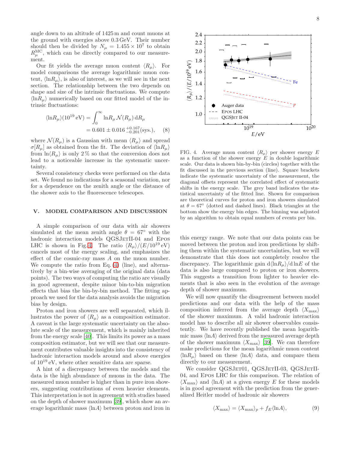angle down to an altitude of 1425 m and count muons at the ground with energies above 0.3 GeV. Their number should then be divided by  $N_{\mu} = 1.455 \times 10^{7}$  to obtain  $R_{\mu}^{\text{MC}}$ , which can be directly compared to our measurement.

Our fit yields the average muon content  $\langle R_{\mu} \rangle$ . For model comparisons the average logarithmic muon content,  $\langle \ln R_u \rangle$ , is also of interest, as we will see in the next section. The relationship between the two depends on shape and size of the intrinsic fluctuations. We compute  $\langle \ln R_u \rangle$  numerically based on our fitted model of the intrinsic fluctuations:

$$
\langle \ln R_{\mu} \rangle (10^{19} \text{ eV}) = \int_0^{\infty} \ln R_{\mu} \mathcal{N}(R_{\mu}) \, dR_{\mu}
$$

$$
= 0.601 \pm 0.016 \, {}^{+0.167}_{-0.201} \text{(sys.),} \quad (8)
$$

where  $\mathcal{N}(R_\mu)$  is a Gaussian with mean  $\langle R_\mu \rangle$  and spread  $\sigma[R_\mu]$  as obtained from the fit. The deviation of  $\langle \ln R_\mu \rangle$ from  $\ln \langle R_u \rangle$  is only 2% so that the conversion does not lead to a noticeable increase in the systematic uncertainty.

Several consistency checks were performed on the data set. We found no indications for a seasonal variation, nor for a dependence on the zenith angle or the distance of the shower axis to the fluorescence telescopes.

### V. MODEL COMPARISON AND DISCUSSION

A simple comparison of our data with air showers simulated at the mean zenith angle  $\theta = 67°$  with the hadronic interaction models QGSJETII-04 and EPOS LHC is shown in Fig. [4.](#page-7-0) The ratio  $\langle R_{\mu} \rangle/(E/10^{19} \text{ eV})$ cancels most of the energy scaling, and emphasizes the effect of the cosmic-ray mass A on the muon number. We compute the ratio from Eq. [\(4\)](#page-6-1) (line), and alternatively by a bin-wise averaging of the original data (data points). The two ways of computing the ratio are visually in good agreement, despite minor bin-to-bin migration effects that bias the bin-by-bin method. The fitting approach we used for the data analysis avoids the migration bias by design.

Proton and iron showers are well separated, which illustrates the power of  $\langle R_{\mu} \rangle$  as a composition estimator. A caveat is the large systematic uncertainty on the absolute scale of the measurement, which is mainly inherited from the energy scale [\[40\]](#page-11-8). This limits its power as a mass composition estimator, but we will see that our measurement contributes valuable insights into the consistency of hadronic interaction models around and above energies of 10<sup>19</sup> eV, where other sensitive data are sparse.

A hint of a discrepancy between the models and the data is the high abundance of muons in the data. The measured muon number is higher than in pure iron showers, suggesting contributions of even heavier elements. This interpretation is not in agreement with studies based on the depth of shower maximum [\[39\]](#page-11-11), which show an average logarithmic mass  $\langle \ln A \rangle$  between proton and iron in



<span id="page-7-0"></span>FIG. 4. Average muon content  $\langle R_{\mu} \rangle$  per shower energy E as a function of the shower energy  $E$  in double logarithmic scale. Our data is shown bin-by-bin (circles) together with the fit discussed in the previous section (line). Square brackets indicate the systematic uncertainty of the measurement, the diagonal offsets represent the correlated effect of systematic shifts in the energy scale. The grey band indicates the statistical uncertainty of the fitted line. Shown for comparison are theoretical curves for proton and iron showers simulated at  $\theta = 67^{\circ}$  (dotted and dashed lines). Black triangles at the bottom show the energy bin edges. The binning was adjusted by an algorithm to obtain equal numbers of events per bin.

this energy range. We note that our data points can be moved between the proton and iron predictions by shifting them within the systematic uncertainties, but we will demonstrate that this does not completely resolve the discrepancy. The logarithmic gain  $d\langle \ln R_\mu \rangle / d \ln E$  of the data is also large compared to proton or iron showers. This suggests a transition from lighter to heavier elements that is also seen in the evolution of the average depth of shower maximum.

We will now quantify the disagreement between model predictions and our data with the help of the mass composition inferred from the average depth  $\langle X_{\rm max} \rangle$ of the shower maximum. A valid hadronic interaction model has to describe all air shower observables consistently. We have recently published the mean logarithmic mass  $\langle \ln A \rangle$  derived from the measured average depth of the shower maximum  $\langle X_{\text{max}} \rangle$  [\[39](#page-11-11)]. We can therefore make predictions for the mean logarithmic muon content  $\langle \ln R_u \rangle$  based on these  $\langle \ln A \rangle$  data, and compare them directly to our measurement.

We consider QGSJET01, QGSJETII-03, QGSJETII-04, and Epos LHC for this comparison. The relation of  $\langle X_{\text{max}} \rangle$  and  $\langle \ln A \rangle$  at a given energy E for these models is in good agreement with the prediction from the generalized Heitler model of hadronic air showers

<span id="page-7-1"></span>
$$
\langle X_{\text{max}} \rangle = \langle X_{\text{max}} \rangle_p + f_E \langle \ln A \rangle,\tag{9}
$$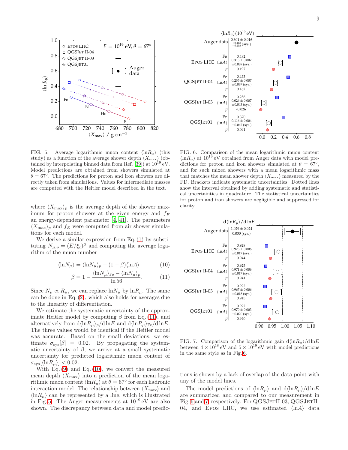

<span id="page-8-2"></span>FIG. 5. Average logarithmic muon content  $\langle \ln R_{\mu} \rangle$  (this study) as a function of the average shower depth  $\langle X_{\rm max} \rangle$  (ob-tained by interpolating binned data from Ref. [\[39](#page-11-11)]) at  $10^{19}$  eV. Model predictions are obtained from showers simulated at  $\theta = 67^\circ$ . The predictions for proton and iron showers are directly taken from simulations. Values for intermediate masses are computed with the Heitler model described in the text.

680 700 720 740 760 780 800 820  $\langle X_{max} \rangle$  / g cm<sup>-2</sup>

He

N

QGSJET II-04  $\Diamond$  QGSJET II-03 QGSJET01

*p*

0.0

0.2

Fe

0.4

 $\widehat{\tau}$  $R_\mu$ 

0.6

0.8

1.0

where  $\langle X_{\text{max}}\rangle_p$  is the average depth of the shower maximum for proton showers at the given energy and  $f_E$ an energy-dependent parameter [\[4,](#page-10-3) [41\]](#page-11-12). The parameters  $\langle X_{\rm max}\rangle_p$  and  $f_E$  were computed from air shower simulations for each model.

We derive a similar expression from Eq. [\(1\)](#page-3-0) by substituting  $N_{\mu,p} = (E/\xi_c)^{\beta}$  and computing the average logarithm of the muon number

$$
\langle \ln N_{\mu} \rangle = \langle \ln N_{\mu} \rangle_{p} + (1 - \beta) \langle \ln A \rangle \tag{10}
$$

$$
\beta = 1 - \frac{\langle \ln N_{\mu} \rangle_{\text{Fe}} - \langle \ln N_{\mu} \rangle_{p}}{\ln 56}.
$$
 (11)

Since  $N_{\mu} \propto R_{\mu}$ , we can replace  $\ln N_{\mu}$  by  $\ln R_{\mu}$ . The same can be done in Eq. [\(2\)](#page-3-1), which also holds for averages due to the linearity of differentiation.

We estimate the systematic uncertainty of the approximate Heitler model by computing  $\beta$  from Eq. [\(11\)](#page-8-0), and alternatively from  $d\langle \ln R_\mu \rangle_p/d \ln E$  and  $d\langle \ln R_\mu \rangle_{Fe}/d \ln E$ . The three values would be identical if the Heitler model was accurate. Based on the small deviations, we estimate  $\sigma_{\rm svs}[\beta] = 0.02$ . By propagating the systematic uncertainty of  $\beta$ , we arrive at a small systematic uncertainty for predicted logarithmic muon content of  $\sigma_{\rm sys}[\langle \ln R_\mu \rangle] < 0.02$ .

With Eq.  $(9)$  and Eq.  $(10)$ , we convert the measured mean depth  $\langle X_{\text{max}} \rangle$  into a prediction of the mean logarithmic muon content  $\langle \ln R_{\mu} \rangle$  at  $\theta = 67^{\circ}$  for each hadronic interaction model. The relationship between  $\langle X_{\text{max}} \rangle$  and  $\langle \ln R_{\mu} \rangle$  can be represented by a line, which is illustrated in Fig. [5.](#page-8-2) The Auger measurements at  $10^{19}$  eV are also shown. The discrepancy between data and model predic-



<span id="page-8-3"></span>FIG. 6. Comparison of the mean logarithmic muon content  $\langle \ln R_{\mu} \rangle$  at 10<sup>19</sup> eV obtained from Auger data with model predictions for proton and iron showers simulated at  $\theta = 67^{\circ}$ , and for such mixed showers with a mean logarithmic mass that matches the mean shower depth  $\langle X_{\text{max}} \rangle$  measured by the FD. Brackets indicate systematic uncertainties. Dotted lines show the interval obtained by adding systematic and statistical uncertainties in quadrature. The statistical uncertainties for proton and iron showers are negligible and suppressed for clarity.

<span id="page-8-1"></span><span id="page-8-0"></span>

<span id="page-8-4"></span>FIG. 7. Comparison of the logarithmic gain  $d\langle \ln R_\mu \rangle / d \ln E$ between  $4 \times 10^{18}$  eV and  $5 \times 10^{19}$  eV with model predictions in the same style as in Fig. [6.](#page-8-3)

tions is shown by a lack of overlap of the data point with any of the model lines.

The model predictions of  $\langle \ln R_{\mu} \rangle$  and  $d \langle \ln R_{\mu} \rangle / d \ln E$ are summarized and compared to our measurement in Fig. [6](#page-8-3) and [7,](#page-8-4) respectively. For QGSJETII-03, QGSJETII-04, and EPOS LHC, we use estimated  $\langle \ln A \rangle$  data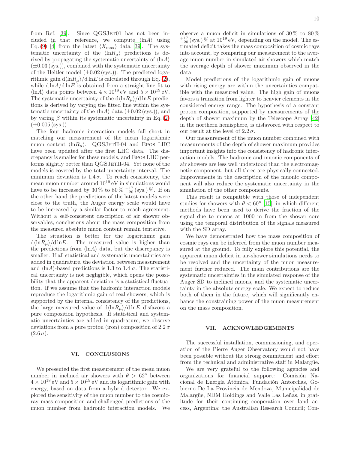from Ref. [\[39\]](#page-11-11). Since QGSJET01 has not been included in that reference, we compute  $\langle \ln A \rangle$  using Eq. [\(9\)](#page-7-1) [\[4\]](#page-10-3) from the latest  $\langle X_{\text{max}} \rangle$  data [\[39](#page-11-11)]. The systematic uncertainty of the  $\langle \ln R_{\mu} \rangle$  predictions is derived by propagating the systematic uncertainty of  $\langle \ln A \rangle$  $(\pm 0.03 \text{ (sys.)}),$  combined with the systematic uncertainty of the Heitler model  $(\pm 0.02 \text{ (sys.)})$ . The predicted logarithmic gain  $d\langle \ln R_\mu \rangle / d \ln E$  is calculated through Eq. [\(2\)](#page-3-1), while  $d \ln A / d \ln E$  is obtained from a straight line fit to  $\langle \ln A \rangle$  data points between  $4 \times 10^{18}$  eV and  $5 \times 10^{19}$  eV. The systematic uncertainty of the  $d\langle \ln R_{\mu} \rangle / d \ln E$  predictions is derived by varying the fitted line within the systematic uncertainty of the  $\langle \ln A \rangle$  data  $(\pm 0.02 \text{ (sys.)}),$  and by varing  $\beta$  within its systematic uncertainty in Eq. [\(2\)](#page-3-1)  $(\pm 0.005 \,(\text{sys.}))$ .

The four hadronic interaction models fall short in matching our measurement of the mean logarithmic muon content  $\langle \ln R_u \rangle$ . QGSJETII-04 and Epos LHC have been updated after the first LHC data. The discrepancy is smaller for these models, and Epos LHC performs slightly better than QGSJETII-04. Yet none of the models is covered by the total uncertainty interval. The minimum deviation is  $1.4 \sigma$ . To reach consistency, the mean muon number around  $10^{19}$  eV in simulations would have to be increased by 30 % to 80 %  $^{+17}_{-20}$  (sys.) %. If on the other hand the predictions of the latest models were close to the truth, the Auger energy scale would have to be increased by a similar factor to reach agreement. Without a self-consistent description of air shower observables, conclusions about the mass composition from the measured absolute muon content remain tentative.

The situation is better for the logarithmic gain  $d\langle \ln R_u \rangle / d \ln E$ . The measured value is higher than the predictions from  $\langle \ln A \rangle$  data, but the discrepancy is smaller. If all statistical and systematic uncertainties are added in quadrature, the deviation between measurement and  $\langle \ln A \rangle$ -based predictions is 1.3 to 1.4  $\sigma$ . The statistical uncertainty is not negligible, which opens the possibility that the apparent deviation is a statistical fluctuation. If we assume that the hadronic interaction models reproduce the logarithmic gain of real showers, which is supported by the internal consistency of the predictions, the large measured value of  $d\langle \ln R_u \rangle / d \ln E$  disfavors a pure composition hypothesis. If statistical and systematic uncertainties are added in quadrature, we observe deviations from a pure proton (iron) composition of  $2.2 \sigma$  $(2.6\,\sigma).$ 

### VI. CONCLUSIONS

We presented the first measurement of the mean muon number in inclined air showers with  $\theta > 62^{\circ}$  between  $4 \times 10^{18}$  eV and  $5 \times 10^{19}$  eV and its logarithmic gain with energy, based on data from a hybrid detector. We explored the sensitivity of the muon number to the cosmicray mass composition and challenged predictions of the muon number from hadronic interaction models. We

observe a muon deficit in simulations of  $30\%$  to  $80\%$  $_{-20}^{+17}$  (sys.) % at  $10^{19}$  eV, depending on the model. The estimated deficit takes the mass composition of cosmic rays into account, by comparing our measurement to the average muon number in simulated air showers which match the average depth of shower maximum observed in the data.

Model predictions of the logarithmic gain of muons with rising energy are within the uncertainties compatible with the measured value. The high gain of muons favors a transition from lighter to heavier elements in the considered energy range. The hypothesis of a constant proton composition, supported by measurements of the depth of shower maximum by the Telescope Array [\[42](#page-11-13)] in the northern hemisphere, is disfavored with respect to our result at the level of  $2.2 \sigma$ .

Our measurement of the muon number combined with measurements of the depth of shower maximum provides important insights into the consistency of hadronic interaction models. The hadronic and muonic components of air showers are less well understood than the electromagnetic component, but all three are physically connected. Improvements in the description of the muonic component will also reduce the systematic uncertainty in the simulation of the other components.

This result is compatible with those of independent studies for showers with  $\theta < 60^{\circ}$  [\[15](#page-10-14)], in which different methods have been used to derive the fraction of the signal due to muons at 1000 m from the shower core using the temporal distribution of the signals measured with the SD array.

We have demonstrated how the mass composition of cosmic rays can be inferred from the muon number measured at the ground. To fully explore this potential, the apparent muon deficit in air-shower simulations needs to be resolved and the uncertainty of the muon measurement further reduced. The main contributions are the systematic uncertainties in the simulated response of the Auger SD to inclined muons, and the systematic uncertainty in the absolute energy scale. We expect to reduce both of them in the future, which will significantly enhance the constraining power of the muon measurement on the mass composition.

### VII. ACKNOWLEDGEMENTS

The successful installation, commissioning, and operation of the Pierre Auger Observatory would not have been possible without the strong commitment and effort from the technical and administrative staff in Malargüe.

We are very grateful to the following agencies and organizations for financial support: Comisión Nacional de Energía Atómica, Fundación Antorchas, Gobierno De La Provincia de Mendoza, Municipalidad de Malargüe, NDM Holdings and Valle Las Leñas, in gratitude for their continuing cooperation over land access, Argentina; the Australian Research Council; Con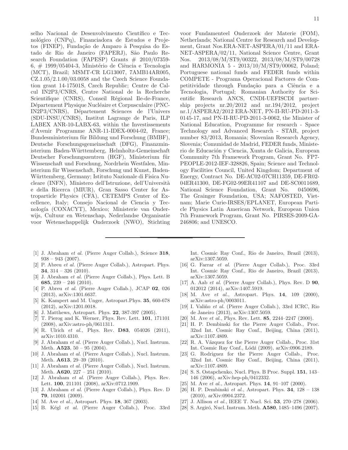selho Nacional de Desenvolvimento Científico e Tecnológico (CNPq), Financiadora de Estudos e Projetos (FINEP), Fundação de Amparo à Pesquisa do Estado de Rio de Janeiro (FAPERJ), São Paulo Research Foundation (FAPESP) Grants  $\#$  2010/07359-6,  $\#$  1999/05404-3, Ministério de Ciência e Tecnologia (MCT), Brazil; MSMT-CR LG13007, 7AMB14AR005, CZ.1.05/2.1.00/03.0058 and the Czech Science Foundation grant 14-17501S, Czech Republic; Centre de Calcul IN2P3/CNRS, Centre National de la Recherche Scientifique (CNRS), Conseil Régional Ile-de-France, Département Physique Nucléaire et Corpusculaire (PNC-IN2P3/CNRS), D´epartement Sciences de l'Univers (SDU-INSU/CNRS), Institut Lagrange de Paris, ILP LABEX ANR-10-LABX-63, within the Investissements d'Avenir Programme ANR-11-IDEX-0004-02, France; Bundesministerium für Bildung und Forschung (BMBF), Deutsche Forschungsgemeinschaft (DFG), Finanzministerium Baden-W¨urttemberg, Helmholtz-Gemeinschaft Deutscher Forschungszentren (HGF), Ministerium für Wissenschaft und Forschung, Nordrhein Westfalen, Ministerium für Wissenschaft, Forschung und Kunst, Baden-Württemberg, Germany; Istituto Nazionale di Fisica Nucleare (INFN), Ministero dell'Istruzione, dell'Università e della Ricerca (MIUR), Gran Sasso Center for Astroparticle Physics (CFA), CETEMPS Center of Excellence, Italy; Consejo Nacional de Ciencia y Tecnología (CONACYT), Mexico; Ministerie van Onderwijs, Cultuur en Wetenschap, Nederlandse Organisatie voor Wetenschappelijk Onderzoek (NWO), Stichting

- <span id="page-10-0"></span>[1] J. Abraham et al. (Pierre Auger Collab.), Science 318,  $938 - 943$  (2007).
- <span id="page-10-1"></span>[2] P. Abreu et al. (Pierre Auger Collab.), Astropart. Phys. 34,  $314 - 326$  (2010).
- <span id="page-10-2"></span>[3] J. Abraham et al. (Pierre Auger Collab.), Phys. Lett. B **685**,  $239 - 246$  (2010).
- <span id="page-10-3"></span>[4] P. Abreu et al. (Pierre Auger Collab.), JCAP 02, 026 (2013), arXiv:1301.6637.
- <span id="page-10-4"></span>[5] K. Kampert and M. Unger, Astropart.Phys. 35, 660-678 (2012), arXiv:1201.0018.
- <span id="page-10-5"></span>[6] J. Matthews, Astropart. Phys. 22, 387-397 (2005).
- <span id="page-10-6"></span>[7] T. Pierog and K. Werner, Phys. Rev. Lett. 101, 171101 (2008), arXiv:astro-ph/0611311.
- <span id="page-10-7"></span>[8] R. Ulrich et al., Phys. Rev. **D83**, 054026 (2011), arXiv:1010.4310.
- <span id="page-10-8"></span>[9] J. Abraham et al. (Pierre Auger Collab.), Nucl. Instrum. Meth.  $A523$ ,  $50 - 95$  (2004).
- <span id="page-10-9"></span>[10] J. Abraham et al. (Pierre Auger Collab.), Nucl. Instrum. Meth. A613, 29–39 (2010).
- <span id="page-10-10"></span>[11] J. Abraham et al. (Pierre Auger Collab.), Nucl. Instrum. Meth. **A620**, 227 – 251 (2010).
- <span id="page-10-11"></span>[12] J. Abraham et al. (Pierre Auger Collab.), Phys. Rev. Lett. 100, 211101 (2008), arXiv:0712.1909.
- <span id="page-10-12"></span>[13] J. Abraham et al. (Pierre Auger Collab.), Phys. Rev. D 79, 102001 (2009).
- <span id="page-10-13"></span>[14] M. Ave *et al.*, Astropart. Phys. **18**, 367 (2003).
- <span id="page-10-14"></span>[15] B. Kégl et al. (Pierre Auger Collab.), Proc. 33rd

voor Fundamenteel Onderzoek der Materie (FOM), Netherlands; National Centre for Research and Development, Grant Nos.ERA-NET-ASPERA/01/11 and ERA-NET-ASPERA/02/11, National Science Centre, Grant Nos. 2013/08/M/ST9/00322, 2013/08/M/ST9/00728 and HARMONIA 5 - 2013/10/M/ST9/00062, Poland; Portuguese national funds and FEDER funds within COMPETE - Programa Operacional Factores de Competitividade through Fundação para a Ciência e a Tecnologia, Portugal; Romanian Authority for Scientific Research ANCS, CNDI-UEFISCDI partnership projects nr.20/2012 and nr.194/2012, project nr.1/ASPERA2/2012 ERA-NET, PN-II-RU-PD-2011-3- 0145-17, and PN-II-RU-PD-2011-3-0062, the Minister of National Education, Programme for research - Space Technology and Advanced Research - STAR, project number 83/2013, Romania; Slovenian Research Agency, Slovenia; Comunidad de Madrid, FEDER funds, Ministerio de Educación y Ciencia, Xunta de Galicia, European Community 7th Framework Program, Grant No. FP7- PEOPLE-2012-IEF-328826, Spain; Science and Technology Facilities Council, United Kingdom; Department of Energy, Contract No. DE-AC02-07CH11359, DE-FR02- 04ER41300, DE-FG02-99ER41107 and DE-SC0011689, National Science Foundation, Grant No. 0450696, The Grainger Foundation, USA; NAFOSTED, Vietnam; Marie Curie-IRSES/EPLANET, European Particle Physics Latin American Network, European Union 7th Framework Program, Grant No. PIRSES-2009-GA-246806; and UNESCO.

Int. Cosmic Ray Conf., Rio de Janeiro, Brazil (2013), arXiv:1307.5059.

- <span id="page-10-15"></span>[16] G. Farrar et al. (Pierre Auger Collab.), Proc. 33rd Int. Cosmic Ray Conf., Rio de Janeiro, Brazil (2013), arXiv:1307.5059.
- <span id="page-10-16"></span>[17] A. Aab et al. (Pierre Auger Collab.), Phys. Rev. D 90, 012012 (2014), arXiv:1407.5919.
- <span id="page-10-17"></span>[18] M. Ave et al., Astropart. Phys. **14**, 109 (2000), arXiv:astro-ph/0003011.
- <span id="page-10-18"></span>[19] I. Valiño et al. (Pierre Auger Collab.), 33rd ICRC, Rio de Janeiro (2013), arXiv:1307.5059.
- <span id="page-10-19"></span>[20] M. Ave et al., Phys. Rev. Lett. 85, 2244-2247 (2000).
- <span id="page-10-20"></span>[21] H. P. Dembinski for the Pierre Auger Collab., Proc. 32nd Int. Cosmic Ray Conf., Beijing, China (2011), arXiv:1107.4809.
- <span id="page-10-21"></span>[22] R. A. Vázquez for the Pierre Auger Collab., Proc. 31st Int. Cosmic Ray Conf., Lódź (2009), arXiv:0906.2189.
- <span id="page-10-22"></span>[23] G. Rodriguez for the Pierre Auger Collab., Proc. 32nd Int. Cosmic Ray Conf., Beijing, China (2011), arXiv:1107.4809.
- <span id="page-10-23"></span>[24] S. S. Ostapchenko, Nucl. Phys. B Proc. Suppl. 151, 143– 146 (2006), arXiv:hep-ph/0412332.
- <span id="page-10-24"></span>[25] M. Ave et al., Astropart. Phys. **14**, 91-107 (2000).
- <span id="page-10-25"></span>[26] H. P. Dembinski et al., Astropart. Phys. 34, 128 – 138 (2010), arXiv:0904.2372.
- <span id="page-10-26"></span>[27] J. Allison et al., IEEE T. Nucl. Sci. 53, 270–278 (2006).
- <span id="page-10-27"></span>[28] S. Argiró, Nucl. Instrum. Meth. **A580**, 1485–1496 (2007).